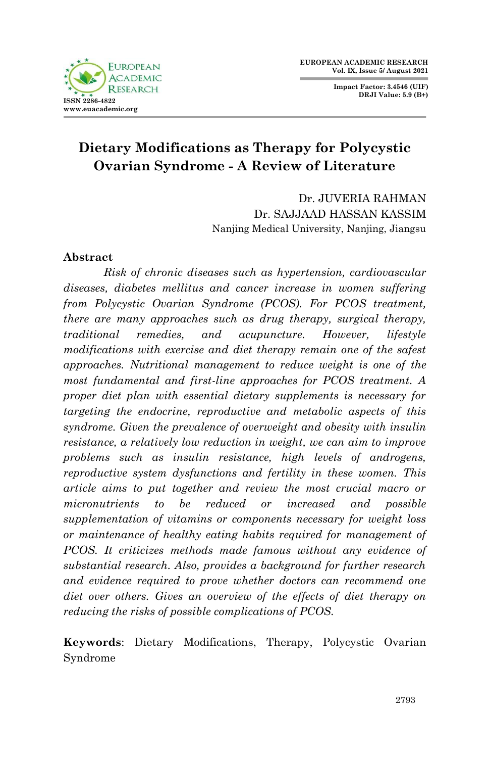**FUROPEAN ACADEMIC**  $D$  ESE A D **ISSN 2286-4822 www.euacademic.org**

**Impact Factor: 3.4546 (UIF) DRJI Value: 5.9 (B+)**

# **Dietary Modifications as Therapy for Polycystic Ovarian Syndrome - A Review of Literature**

Dr. JUVERIA RAHMAN Dr. SAJJAAD HASSAN KASSIM Nanjing Medical University, Nanjing, Jiangsu

## **Abstract**

*Risk of chronic diseases such as hypertension, cardiovascular diseases, diabetes mellitus and cancer increase in women suffering from Polycystic Ovarian Syndrome (PCOS). For PCOS treatment, there are many approaches such as drug therapy, surgical therapy, traditional remedies, and acupuncture. However, lifestyle modifications with exercise and diet therapy remain one of the safest approaches. Nutritional management to reduce weight is one of the most fundamental and first-line approaches for PCOS treatment. A proper diet plan with essential dietary supplements is necessary for targeting the endocrine, reproductive and metabolic aspects of this syndrome. Given the prevalence of overweight and obesity with insulin resistance, a relatively low reduction in weight, we can aim to improve problems such as insulin resistance, high levels of androgens, reproductive system dysfunctions and fertility in these women. This article aims to put together and review the most crucial macro or micronutrients to be reduced or increased and possible supplementation of vitamins or components necessary for weight loss or maintenance of healthy eating habits required for management of PCOS. It criticizes methods made famous without any evidence of substantial research. Also, provides a background for further research and evidence required to prove whether doctors can recommend one diet over others. Gives an overview of the effects of diet therapy on reducing the risks of possible complications of PCOS.*

**Keywords**: Dietary Modifications, Therapy, Polycystic Ovarian Syndrome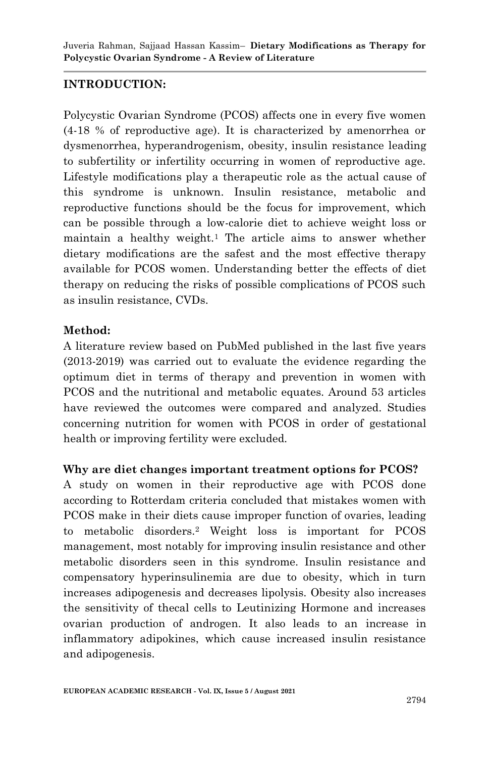# **INTRODUCTION:**

Polycystic Ovarian Syndrome (PCOS) affects one in every five women (4-18 % of reproductive age). It is characterized by amenorrhea or dysmenorrhea, hyperandrogenism, obesity, insulin resistance leading to subfertility or infertility occurring in women of reproductive age. Lifestyle modifications play a therapeutic role as the actual cause of this syndrome is unknown. Insulin resistance, metabolic and reproductive functions should be the focus for improvement, which can be possible through a low-calorie diet to achieve weight loss or maintain a healthy weight.<sup>1</sup> The article aims to answer whether dietary modifications are the safest and the most effective therapy available for PCOS women. Understanding better the effects of diet therapy on reducing the risks of possible complications of PCOS such as insulin resistance, CVDs.

# **Method:**

A literature review based on PubMed published in the last five years (2013-2019) was carried out to evaluate the evidence regarding the optimum diet in terms of therapy and prevention in women with PCOS and the nutritional and metabolic equates. Around 53 articles have reviewed the outcomes were compared and analyzed. Studies concerning nutrition for women with PCOS in order of gestational health or improving fertility were excluded.

## **Why are diet changes important treatment options for PCOS?**

A study on women in their reproductive age with PCOS done according to Rotterdam criteria concluded that mistakes women with PCOS make in their diets cause improper function of ovaries, leading to metabolic disorders.<sup>2</sup> Weight loss is important for PCOS management, most notably for improving insulin resistance and other metabolic disorders seen in this syndrome. Insulin resistance and compensatory hyperinsulinemia are due to obesity, which in turn increases adipogenesis and decreases lipolysis. Obesity also increases the sensitivity of thecal cells to Leutinizing Hormone and increases ovarian production of androgen. It also leads to an increase in inflammatory adipokines, which cause increased insulin resistance and adipogenesis.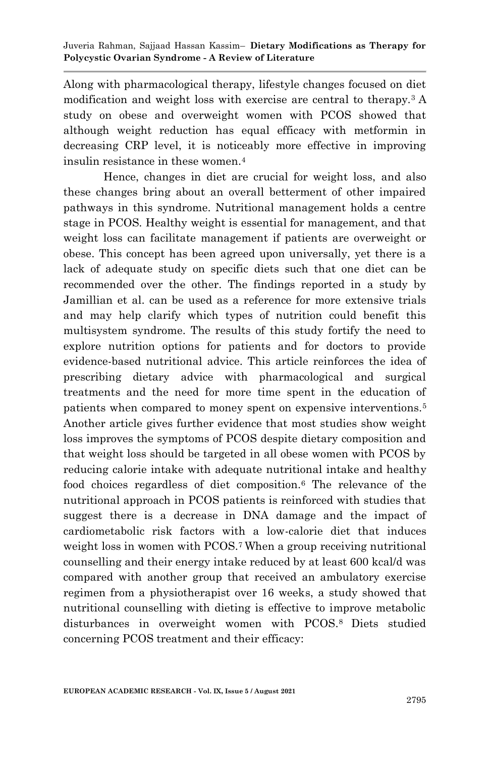Along with pharmacological therapy, lifestyle changes focused on diet modification and weight loss with exercise are central to therapy.3 A study on obese and overweight women with PCOS showed that although weight reduction has equal efficacy with metformin in decreasing CRP level, it is noticeably more effective in improving insulin resistance in these women.<sup>4</sup>

Hence, changes in diet are crucial for weight loss, and also these changes bring about an overall betterment of other impaired pathways in this syndrome. Nutritional management holds a centre stage in PCOS. Healthy weight is essential for management, and that weight loss can facilitate management if patients are overweight or obese. This concept has been agreed upon universally, yet there is a lack of adequate study on specific diets such that one diet can be recommended over the other. The findings reported in a study by Jamillian et al. can be used as a reference for more extensive trials and may help clarify which types of nutrition could benefit this multisystem syndrome. The results of this study fortify the need to explore nutrition options for patients and for doctors to provide evidence-based nutritional advice. This article reinforces the idea of prescribing dietary advice with pharmacological and surgical treatments and the need for more time spent in the education of patients when compared to money spent on expensive interventions.<sup>5</sup> Another article gives further evidence that most studies show weight loss improves the symptoms of PCOS despite dietary composition and that weight loss should be targeted in all obese women with PCOS by reducing calorie intake with adequate nutritional intake and healthy food choices regardless of diet composition.<sup>6</sup> The relevance of the nutritional approach in PCOS patients is reinforced with studies that suggest there is a decrease in DNA damage and the impact of cardiometabolic risk factors with a low-calorie diet that induces weight loss in women with PCOS.<sup>7</sup> When a group receiving nutritional counselling and their energy intake reduced by at least 600 kcal/d was compared with another group that received an ambulatory exercise regimen from a physiotherapist over 16 weeks, a study showed that nutritional counselling with dieting is effective to improve metabolic disturbances in overweight women with PCOS.8 Diets studied concerning PCOS treatment and their efficacy: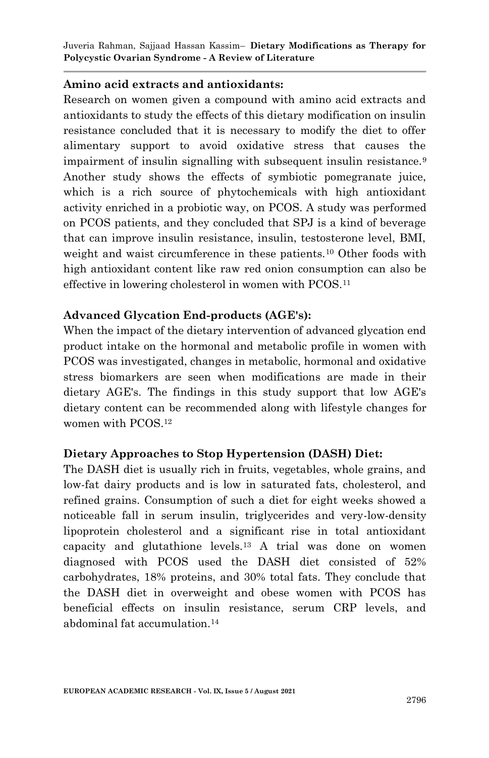#### **Amino acid extracts and antioxidants:**

Research on women given a compound with amino acid extracts and antioxidants to study the effects of this dietary modification on insulin resistance concluded that it is necessary to modify the diet to offer alimentary support to avoid oxidative stress that causes the impairment of insulin signalling with subsequent insulin resistance.<sup>9</sup> Another study shows the effects of symbiotic pomegranate juice, which is a rich source of phytochemicals with high antioxidant activity enriched in a probiotic way, on PCOS. A study was performed on PCOS patients, and they concluded that SPJ is a kind of beverage that can improve insulin resistance, insulin, testosterone level, BMI, weight and waist circumference in these patients.<sup>10</sup> Other foods with high antioxidant content like raw red onion consumption can also be effective in lowering cholesterol in women with PCOS.<sup>11</sup>

#### **Advanced Glycation End-products (AGE's):**

When the impact of the dietary intervention of advanced glycation end product intake on the hormonal and metabolic profile in women with PCOS was investigated, changes in metabolic, hormonal and oxidative stress biomarkers are seen when modifications are made in their dietary AGE's. The findings in this study support that low AGE's dietary content can be recommended along with lifestyle changes for women with PCOS.<sup>12</sup>

## **Dietary Approaches to Stop Hypertension (DASH) Diet:**

The DASH diet is usually rich in fruits, vegetables, whole grains, and low-fat dairy products and is low in saturated fats, cholesterol, and refined grains. Consumption of such a diet for eight weeks showed a noticeable fall in serum insulin, triglycerides and very-low-density lipoprotein cholesterol and a significant rise in total antioxidant capacity and glutathione levels.<sup>13</sup> A trial was done on women diagnosed with PCOS used the DASH diet consisted of 52% carbohydrates, 18% proteins, and 30% total fats. They conclude that the DASH diet in overweight and obese women with PCOS has beneficial effects on insulin resistance, serum CRP levels, and abdominal fat accumulation.14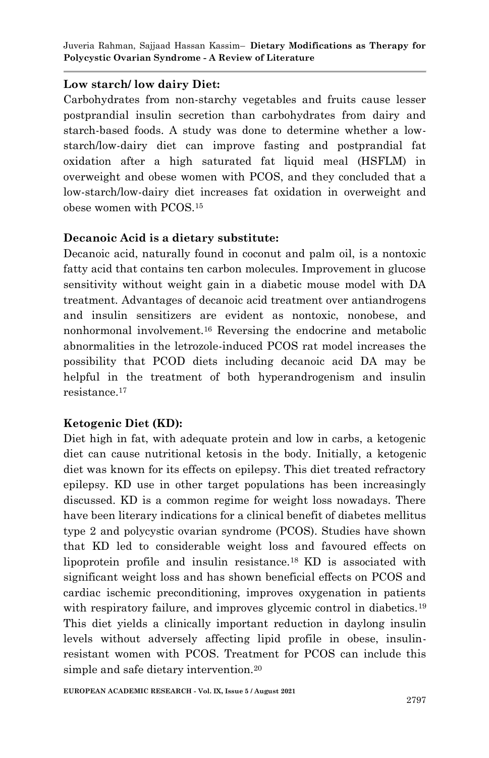#### **Low starch/ low dairy Diet:**

Carbohydrates from non-starchy vegetables and fruits cause lesser postprandial insulin secretion than carbohydrates from dairy and starch-based foods. A study was done to determine whether a lowstarch/low-dairy diet can improve fasting and postprandial fat oxidation after a high saturated fat liquid meal (HSFLM) in overweight and obese women with PCOS, and they concluded that a low-starch/low-dairy diet increases fat oxidation in overweight and obese women with PCOS.<sup>15</sup>

## **Decanoic Acid is a dietary substitute:**

Decanoic acid, naturally found in coconut and palm oil, is a nontoxic fatty acid that contains ten carbon molecules. Improvement in glucose sensitivity without weight gain in a diabetic mouse model with DA treatment. Advantages of decanoic acid treatment over antiandrogens and insulin sensitizers are evident as nontoxic, nonobese, and nonhormonal involvement.<sup>16</sup> Reversing the endocrine and metabolic abnormalities in the letrozole-induced PCOS rat model increases the possibility that PCOD diets including decanoic acid DA may be helpful in the treatment of both hyperandrogenism and insulin resistance.<sup>17</sup>

# **Ketogenic Diet (KD):**

Diet high in fat, with adequate protein and low in carbs, a ketogenic diet can cause nutritional ketosis in the body. Initially, a ketogenic diet was known for its effects on epilepsy. This diet treated refractory epilepsy. KD use in other target populations has been increasingly discussed. KD is a common regime for weight loss nowadays. There have been literary indications for a clinical benefit of diabetes mellitus type 2 and polycystic ovarian syndrome (PCOS). Studies have shown that KD led to considerable weight loss and favoured effects on lipoprotein profile and insulin resistance.18 KD is associated with significant weight loss and has shown beneficial effects on PCOS and cardiac ischemic preconditioning, improves oxygenation in patients with respiratory failure, and improves glycemic control in diabetics.<sup>19</sup> This diet yields a clinically important reduction in daylong insulin levels without adversely affecting lipid profile in obese, insulinresistant women with PCOS. Treatment for PCOS can include this simple and safe dietary intervention.<sup>20</sup>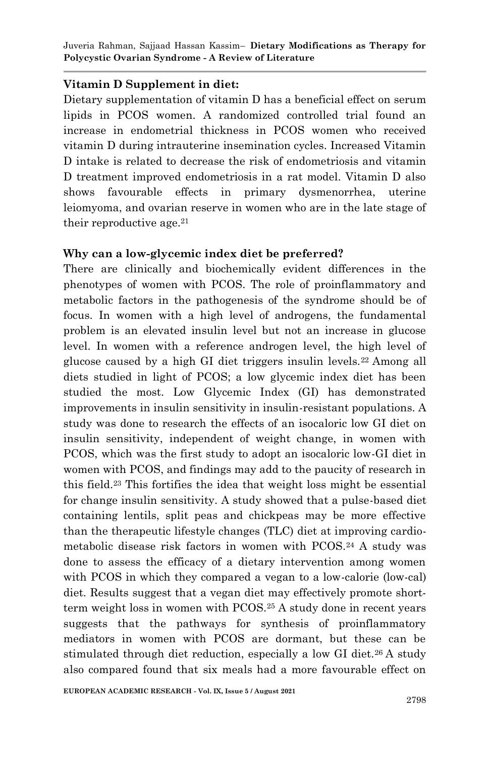#### **Vitamin D Supplement in diet:**

Dietary supplementation of vitamin D has a beneficial effect on serum lipids in PCOS women. A randomized controlled trial found an increase in endometrial thickness in PCOS women who received vitamin D during intrauterine insemination cycles. Increased Vitamin D intake is related to decrease the risk of endometriosis and vitamin D treatment improved endometriosis in a rat model. Vitamin D also shows favourable effects in primary dysmenorrhea, uterine leiomyoma, and ovarian reserve in women who are in the late stage of their reproductive age.  $21$ 

#### **Why can a low-glycemic index diet be preferred?**

There are clinically and biochemically evident differences in the phenotypes of women with PCOS. The role of proinflammatory and metabolic factors in the pathogenesis of the syndrome should be of focus. In women with a high level of androgens, the fundamental problem is an elevated insulin level but not an increase in glucose level. In women with a reference androgen level, the high level of glucose caused by a high GI diet triggers insulin levels.22 Among all diets studied in light of PCOS; a low glycemic index diet has been studied the most. Low Glycemic Index (GI) has demonstrated improvements in insulin sensitivity in insulin-resistant populations. A study was done to research the effects of an isocaloric low GI diet on insulin sensitivity, independent of weight change, in women with PCOS, which was the first study to adopt an isocaloric low-GI diet in women with PCOS, and findings may add to the paucity of research in this field.<sup>23</sup> This fortifies the idea that weight loss might be essential for change insulin sensitivity. A study showed that a pulse-based diet containing lentils, split peas and chickpeas may be more effective than the therapeutic lifestyle changes (TLC) diet at improving cardiometabolic disease risk factors in women with PCOS.<sup>24</sup> A study was done to assess the efficacy of a dietary intervention among women with PCOS in which they compared a vegan to a low-calorie (low-cal) diet. Results suggest that a vegan diet may effectively promote shortterm weight loss in women with PCOS.<sup>25</sup> A study done in recent years suggests that the pathways for synthesis of proinflammatory mediators in women with PCOS are dormant, but these can be stimulated through diet reduction, especially a low GI diet.<sup>26</sup> A study also compared found that six meals had a more favourable effect on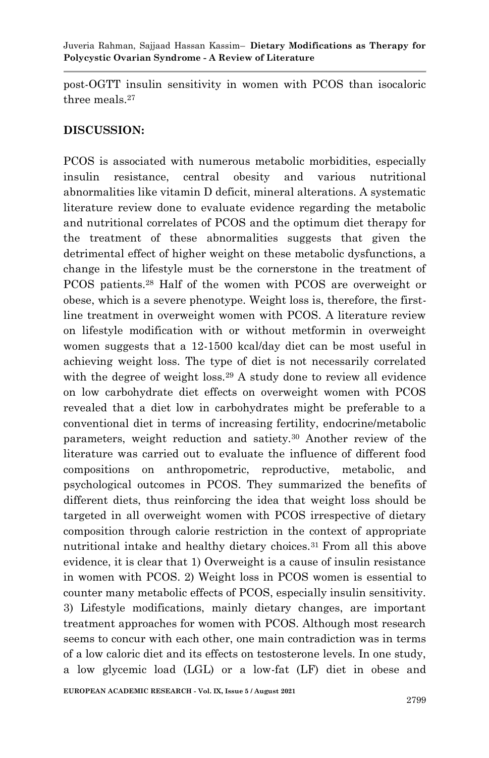post-OGTT insulin sensitivity in women with PCOS than isocaloric three meals.<sup>27</sup>

# **DISCUSSION:**

PCOS is associated with numerous metabolic morbidities, especially insulin resistance, central obesity and various nutritional abnormalities like vitamin D deficit, mineral alterations. A systematic literature review done to evaluate evidence regarding the metabolic and nutritional correlates of PCOS and the optimum diet therapy for the treatment of these abnormalities suggests that given the detrimental effect of higher weight on these metabolic dysfunctions, a change in the lifestyle must be the cornerstone in the treatment of PCOS patients.<sup>28</sup> Half of the women with PCOS are overweight or obese, which is a severe phenotype. Weight loss is, therefore, the firstline treatment in overweight women with PCOS. A literature review on lifestyle modification with or without metformin in overweight women suggests that a 12-1500 kcal/day diet can be most useful in achieving weight loss. The type of diet is not necessarily correlated with the degree of weight  $loss<sup>29</sup>$  A study done to review all evidence on low carbohydrate diet effects on overweight women with PCOS revealed that a diet low in carbohydrates might be preferable to a conventional diet in terms of increasing fertility, endocrine/metabolic parameters, weight reduction and satiety.<sup>30</sup> Another review of the literature was carried out to evaluate the influence of different food compositions on anthropometric, reproductive, metabolic, and psychological outcomes in PCOS. They summarized the benefits of different diets, thus reinforcing the idea that weight loss should be targeted in all overweight women with PCOS irrespective of dietary composition through calorie restriction in the context of appropriate nutritional intake and healthy dietary choices.31 From all this above evidence, it is clear that 1) Overweight is a cause of insulin resistance in women with PCOS. 2) Weight loss in PCOS women is essential to counter many metabolic effects of PCOS, especially insulin sensitivity. 3) Lifestyle modifications, mainly dietary changes, are important treatment approaches for women with PCOS. Although most research seems to concur with each other, one main contradiction was in terms of a low caloric diet and its effects on testosterone levels. In one study, a low glycemic load (LGL) or a low-fat (LF) diet in obese and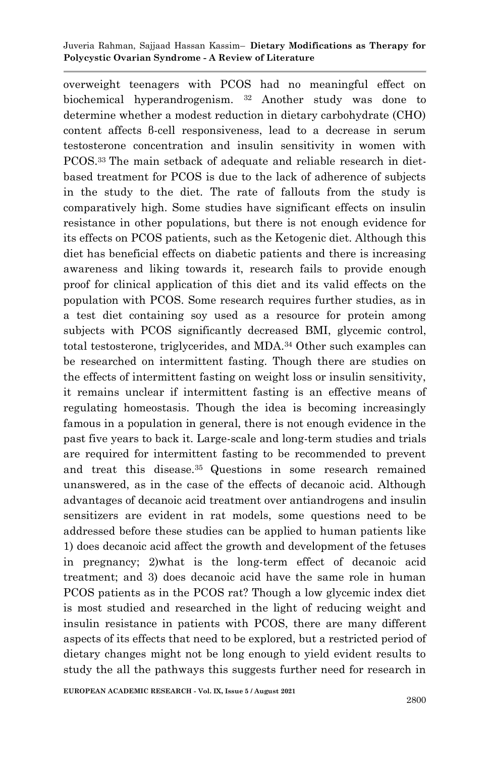overweight teenagers with PCOS had no meaningful effect on biochemical hyperandrogenism. <sup>32</sup> Another study was done to determine whether a modest reduction in dietary carbohydrate (CHO) content affects β-cell responsiveness, lead to a decrease in serum testosterone concentration and insulin sensitivity in women with PCOS.33 The main setback of adequate and reliable research in dietbased treatment for PCOS is due to the lack of adherence of subjects in the study to the diet. The rate of fallouts from the study is comparatively high. Some studies have significant effects on insulin resistance in other populations, but there is not enough evidence for its effects on PCOS patients, such as the Ketogenic diet. Although this diet has beneficial effects on diabetic patients and there is increasing awareness and liking towards it, research fails to provide enough proof for clinical application of this diet and its valid effects on the population with PCOS. Some research requires further studies, as in a test diet containing soy used as a resource for protein among subjects with PCOS significantly decreased BMI, glycemic control, total testosterone, triglycerides, and MDA.<sup>34</sup> Other such examples can be researched on intermittent fasting. Though there are studies on the effects of intermittent fasting on weight loss or insulin sensitivity, it remains unclear if intermittent fasting is an effective means of regulating homeostasis. Though the idea is becoming increasingly famous in a population in general, there is not enough evidence in the past five years to back it. Large-scale and long-term studies and trials are required for intermittent fasting to be recommended to prevent and treat this disease.35 Questions in some research remained unanswered, as in the case of the effects of decanoic acid. Although advantages of decanoic acid treatment over antiandrogens and insulin sensitizers are evident in rat models, some questions need to be addressed before these studies can be applied to human patients like 1) does decanoic acid affect the growth and development of the fetuses in pregnancy; 2)what is the long-term effect of decanoic acid treatment; and 3) does decanoic acid have the same role in human PCOS patients as in the PCOS rat? Though a low glycemic index diet is most studied and researched in the light of reducing weight and insulin resistance in patients with PCOS, there are many different aspects of its effects that need to be explored, but a restricted period of dietary changes might not be long enough to yield evident results to study the all the pathways this suggests further need for research in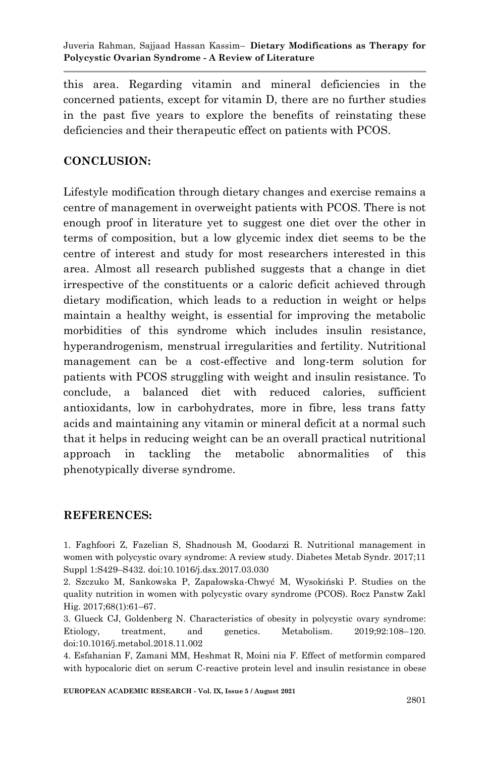this area. Regarding vitamin and mineral deficiencies in the concerned patients, except for vitamin D, there are no further studies in the past five years to explore the benefits of reinstating these deficiencies and their therapeutic effect on patients with PCOS.

## **CONCLUSION:**

Lifestyle modification through dietary changes and exercise remains a centre of management in overweight patients with PCOS. There is not enough proof in literature yet to suggest one diet over the other in terms of composition, but a low glycemic index diet seems to be the centre of interest and study for most researchers interested in this area. Almost all research published suggests that a change in diet irrespective of the constituents or a caloric deficit achieved through dietary modification, which leads to a reduction in weight or helps maintain a healthy weight, is essential for improving the metabolic morbidities of this syndrome which includes insulin resistance, hyperandrogenism, menstrual irregularities and fertility. Nutritional management can be a cost-effective and long-term solution for patients with PCOS struggling with weight and insulin resistance. To conclude, a balanced diet with reduced calories, sufficient antioxidants, low in carbohydrates, more in fibre, less trans fatty acids and maintaining any vitamin or mineral deficit at a normal such that it helps in reducing weight can be an overall practical nutritional approach in tackling the metabolic abnormalities of this phenotypically diverse syndrome.

#### **REFERENCES:**

1. Faghfoori Z, Fazelian S, Shadnoush M, Goodarzi R. Nutritional management in women with polycystic ovary syndrome: A review study. Diabetes Metab Syndr. 2017;11 Suppl 1:S429–S432. doi:10.1016/j.dsx.2017.03.030

2. Szczuko M, Sankowska P, Zapałowska-Chwyć M, Wysokiński P. Studies on the quality nutrition in women with polycystic ovary syndrome (PCOS). Rocz Panstw Zakl Hig. 2017;68(1):61–67.

3. Glueck CJ, Goldenberg N. Characteristics of obesity in polycystic ovary syndrome: Etiology, treatment, and genetics. Metabolism. 2019;92:108–120. doi:10.1016/j.metabol.2018.11.002

4. Esfahanian F, Zamani MM, Heshmat R, Moini nia F. Effect of metformin compared with hypocaloric diet on serum C-reactive protein level and insulin resistance in obese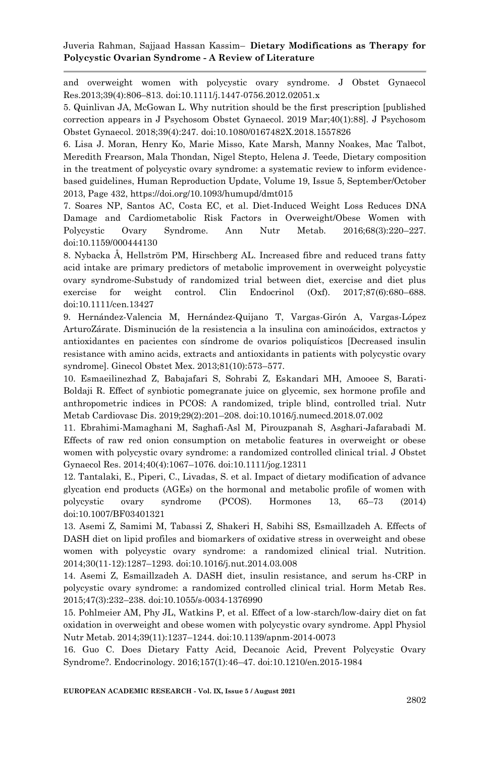and overweight women with polycystic ovary syndrome. J Obstet Gynaecol Res.2013;39(4):806–813. doi:10.1111/j.1447-0756.2012.02051.x

5. Quinlivan JA, McGowan L. Why nutrition should be the first prescription [published correction appears in J Psychosom Obstet Gynaecol. 2019 Mar;40(1):88]. J Psychosom Obstet Gynaecol. 2018;39(4):247. doi:10.1080/0167482X.2018.1557826

6. Lisa J. Moran, Henry Ko, Marie Misso, Kate Marsh, Manny Noakes, Mac Talbot, Meredith Frearson, Mala Thondan, Nigel Stepto, Helena J. Teede, Dietary composition in the treatment of polycystic ovary syndrome: a systematic review to inform evidencebased guidelines, Human Reproduction Update, Volume 19, Issue 5, September/October 2013, Page 432, https://doi.org/10.1093/humupd/dmt015

7. Soares NP, Santos AC, Costa EC, et al. Diet-Induced Weight Loss Reduces DNA Damage and Cardiometabolic Risk Factors in Overweight/Obese Women with Polycystic Ovary Syndrome. Ann Nutr Metab. 2016;68(3):220–227. doi:10.1159/000444130

8. Nybacka Å, Hellström PM, Hirschberg AL. Increased fibre and reduced trans fatty acid intake are primary predictors of metabolic improvement in overweight polycystic ovary syndrome-Substudy of randomized trial between diet, exercise and diet plus exercise for weight control. Clin Endocrinol (Oxf). 2017;87(6):680–688. doi:10.1111/cen.13427

9. Hernández-Valencia M, Hernández-Quijano T, Vargas-Girón A, Vargas-López ArturoZárate. Disminución de la resistencia a la insulina con aminoácidos, extractos y antioxidantes en pacientes con síndrome de ovarios poliquísticos [Decreased insulin resistance with amino acids, extracts and antioxidants in patients with polycystic ovary syndrome]. Ginecol Obstet Mex. 2013;81(10):573–577.

10. Esmaeilinezhad Z, Babajafari S, Sohrabi Z, Eskandari MH, Amooee S, Barati-Boldaji R. Effect of synbiotic pomegranate juice on glycemic, sex hormone profile and anthropometric indices in PCOS: A randomized, triple blind, controlled trial. Nutr Metab Cardiovasc Dis. 2019;29(2):201–208. doi:10.1016/j.numecd.2018.07.002

11. Ebrahimi-Mamaghani M, Saghafi-Asl M, Pirouzpanah S, Asghari-Jafarabadi M. Effects of raw red onion consumption on metabolic features in overweight or obese women with polycystic ovary syndrome: a randomized controlled clinical trial. J Obstet Gynaecol Res. 2014;40(4):1067–1076. doi:10.1111/jog.12311

12. Tantalaki, E., Piperi, C., Livadas, S. et al. Impact of dietary modification of advance glycation end products (AGEs) on the hormonal and metabolic profile of women with polycystic ovary syndrome (PCOS). Hormones 13, 65–73 (2014) doi:10.1007/BF03401321

13. Asemi Z, Samimi M, Tabassi Z, Shakeri H, Sabihi SS, Esmaillzadeh A. Effects of DASH diet on lipid profiles and biomarkers of oxidative stress in overweight and obese women with polycystic ovary syndrome: a randomized clinical trial. Nutrition. 2014;30(11-12):1287–1293. doi:10.1016/j.nut.2014.03.008

14. Asemi Z, Esmaillzadeh A. DASH diet, insulin resistance, and serum hs-CRP in polycystic ovary syndrome: a randomized controlled clinical trial. Horm Metab Res. 2015;47(3):232–238. doi:10.1055/s-0034-1376990

15. Pohlmeier AM, Phy JL, Watkins P, et al. Effect of a low-starch/low-dairy diet on fat oxidation in overweight and obese women with polycystic ovary syndrome. Appl Physiol Nutr Metab. 2014;39(11):1237–1244. doi:10.1139/apnm-2014-0073

16. Guo C. Does Dietary Fatty Acid, Decanoic Acid, Prevent Polycystic Ovary Syndrome?. Endocrinology. 2016;157(1):46–47. doi:10.1210/en.2015-1984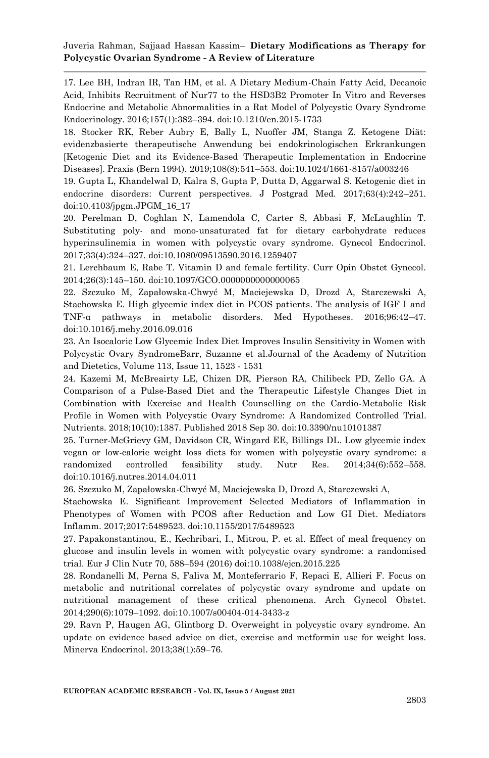17. Lee BH, Indran IR, Tan HM, et al. A Dietary Medium-Chain Fatty Acid, Decanoic Acid, Inhibits Recruitment of Nur77 to the HSD3B2 Promoter In Vitro and Reverses Endocrine and Metabolic Abnormalities in a Rat Model of Polycystic Ovary Syndrome Endocrinology. 2016;157(1):382–394. doi:10.1210/en.2015-1733

18. Stocker RK, Reber Aubry E, Bally L, Nuoffer JM, Stanga Z. Ketogene Diät: evidenzbasierte therapeutische Anwendung bei endokrinologischen Erkrankungen [Ketogenic Diet and its Evidence-Based Therapeutic Implementation in Endocrine Diseases]. Praxis (Bern 1994). 2019;108(8):541–553. doi:10.1024/1661-8157/a003246

19. Gupta L, Khandelwal D, Kalra S, Gupta P, Dutta D, Aggarwal S. Ketogenic diet in endocrine disorders: Current perspectives. J Postgrad Med. 2017;63(4):242–251. doi:10.4103/jpgm.JPGM\_16\_17

20. Perelman D, Coghlan N, Lamendola C, Carter S, Abbasi F, McLaughlin T. Substituting poly- and mono-unsaturated fat for dietary carbohydrate reduces hyperinsulinemia in women with polycystic ovary syndrome. Gynecol Endocrinol. 2017;33(4):324–327. doi:10.1080/09513590.2016.1259407

21. Lerchbaum E, Rabe T. Vitamin D and female fertility. Curr Opin Obstet Gynecol. 2014;26(3):145–150. doi:10.1097/GCO.0000000000000065

22. Szczuko M, Zapałowska-Chwyć M, Maciejewska D, Drozd A, Starczewski A, Stachowska E. High glycemic index diet in PCOS patients. The analysis of IGF I and TNF-α pathways in metabolic disorders. Med Hypotheses. 2016;96:42–47. doi:10.1016/j.mehy.2016.09.016

23. An Isocaloric Low Glycemic Index Diet Improves Insulin Sensitivity in Women with Polycystic Ovary SyndromeBarr, Suzanne et al.Journal of the Academy of Nutrition and Dietetics, Volume 113, Issue 11, 1523 - 1531

24. Kazemi M, McBreairty LE, Chizen DR, Pierson RA, Chilibeck PD, Zello GA. A Comparison of a Pulse-Based Diet and the Therapeutic Lifestyle Changes Diet in Combination with Exercise and Health Counselling on the Cardio-Metabolic Risk Profile in Women with Polycystic Ovary Syndrome: A Randomized Controlled Trial. Nutrients. 2018;10(10):1387. Published 2018 Sep 30. doi:10.3390/nu10101387

25. Turner-McGrievy GM, Davidson CR, Wingard EE, Billings DL. Low glycemic index vegan or low-calorie weight loss diets for women with polycystic ovary syndrome: a randomized controlled feasibility study. Nutr Res. 2014;34(6):552–558. doi:10.1016/j.nutres.2014.04.011

26. Szczuko M, Zapałowska-Chwyć M, Maciejewska D, Drozd A, Starczewski A,

Stachowska E. Significant Improvement Selected Mediators of Inflammation in Phenotypes of Women with PCOS after Reduction and Low GI Diet. Mediators Inflamm. 2017;2017:5489523. doi:10.1155/2017/5489523

27. Papakonstantinou, E., Kechribari, I., Mitrou, P. et al. Effect of meal frequency on glucose and insulin levels in women with polycystic ovary syndrome: a randomised trial. Eur J Clin Nutr 70, 588–594 (2016) doi:10.1038/ejcn.2015.225

28. Rondanelli M, Perna S, Faliva M, Monteferrario F, Repaci E, Allieri F. Focus on metabolic and nutritional correlates of polycystic ovary syndrome and update on nutritional management of these critical phenomena. Arch Gynecol Obstet. 2014;290(6):1079–1092. doi:10.1007/s00404-014-3433-z

29. Ravn P, Haugen AG, Glintborg D. Overweight in polycystic ovary syndrome. An update on evidence based advice on diet, exercise and metformin use for weight loss. Minerva Endocrinol. 2013;38(1):59–76.